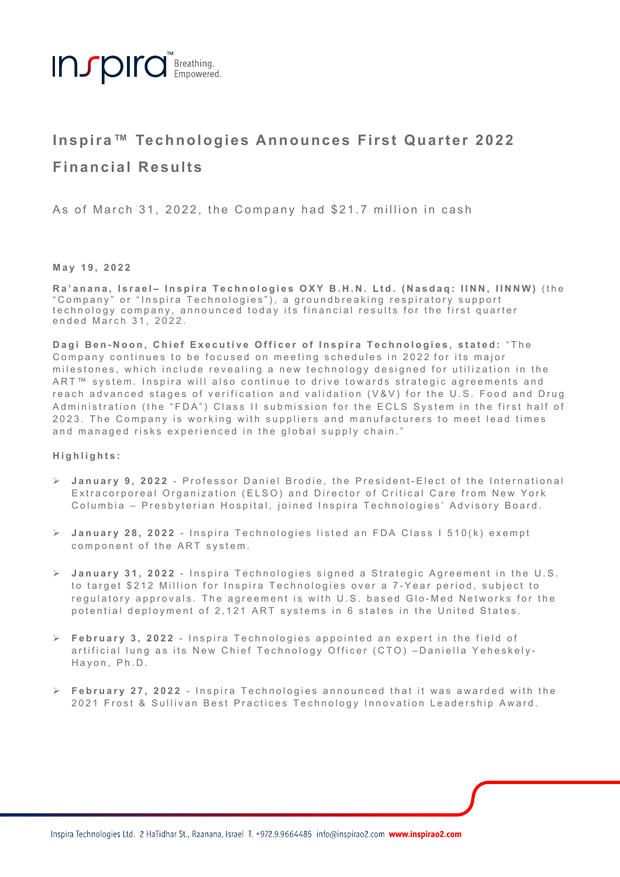

# **Inspira™ Technologies Announces First Quarter 2022 Financial Results**

As of March 31, 2022, the Company had \$21.7 million in cash

## **May 19, 2022**

Ra'anana, Israel- Inspira Technologies OXY B.H.N. Ltd. (Nasdaq: IINN, IINNW) (the "Company" or "Inspira Technologies"), a groundbreaking respiratory support technology company, announced today its financial results for the first quarter ended March 31, 2022.

**Dagi Ben - Noon, Chief Executive Officer of Inspira Technologies , stated:** "The C ompany continues to be focused on meeting schedules in 2022 for its major milestones, which include revealing a new technology designed for utilization in the ART<sup>™</sup> system. Inspira will also continue to drive towards strategic agreements and reach advanced stages of verification and validation (V&V) for the U.S. Food and Drug Administration (the "FDA") Class II submission for the ECLS System in the first half of 202 3 . The C ompany is working with suppliers and manufacturers to meet lead times and managed risks experienced in the global supply chain . "

### **Highlights:**

- Ø **January 9, 2022**  Professor Daniel Brodie, the President Elect of the International Extracorporeal Organization (ELSO) and Director of Critical Care from New York Columbia – Presbyterian Hospital, joined Inspira Technologies' Advisory Board.
- **→** January 28, 2022 Inspira Technologies listed an FDA Class I 510(k) exempt component of the ART system .
- $\triangleright$  January 31, 2022 Inspira Technologies signed a Strategic Agreement in the U.S. to target \$212 Million for Inspira Technologies over a 7-Year period, subject to regulatory approvals. The agreement is with U.S. based Glo-Med Networks for the potential deployment of 2,121 ART systems in 6 states in the United States.
- $\triangleright$  **February 3, 2022** Inspira Technologies appointed an expert in the field of artificial lung as its New Chief Technology Officer (CTO) -Daniella Yeheskely-Hayon, Ph.D.
- $\triangleright$  **February 27, 2022** Inspira Technologies announced that it was awarded with the 2021 Frost & Sullivan Best Practices Technology Innovation Leadership Award .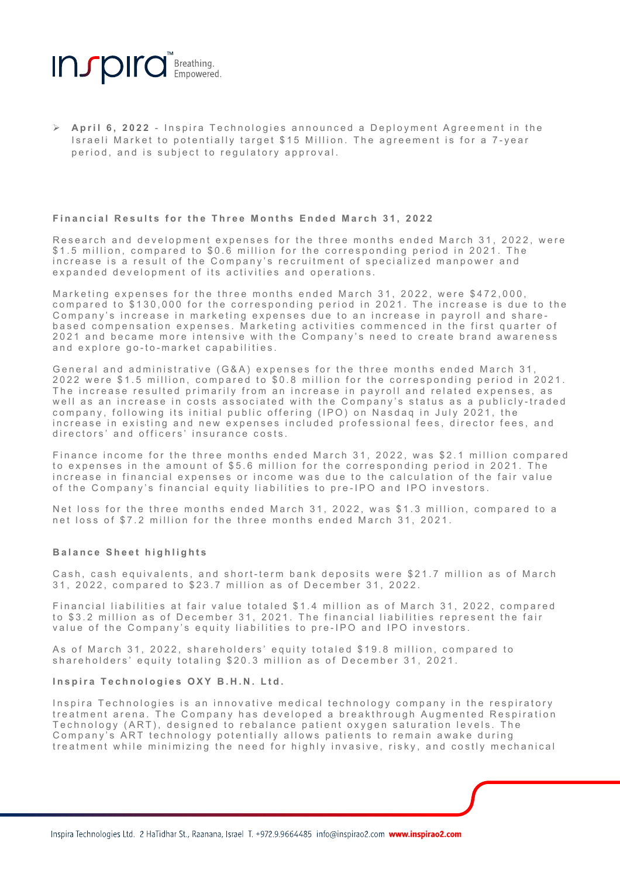

Ø **April 6, 2022** - Inspira Technologies a nnounce d a Deployment Agreement in the Israeli Market to potentially target \$15 Million. The agreement is for a 7-year period, and is subject to regulatory approval.

#### **Financial Results for the Three Months Ended March 3 1 , 202 2**

Research and development expenses for the three months ended March 31, 2022, were \$1.5 million, compared to \$0.6 million for the corresponding period in 2021. The increase is a result of the Company's recruitment of specialized manpower and expanded development of its activities and operations .

Marketing expenses for the three months ended March 31, 2022, were \$472,000, compared to \$130,000 for the corresponding period in 2021 . The increase is due to the Company's increase in marketing expenses due to an increase in payroll and sharebased compensation expenses. Marketing activities commenced in the first quarter of 2021 and became more intensive with the C ompany's need to create brand awareness and explore go-to-market capabilities.

General and administrative (G&A) expenses for the three months ended March 31, 2022 were \$1.5 million, compared to \$0.8 million for the corresponding period in 2021. The increase resulted primarily from an increase in payroll and related expenses, as well as an increase in costs associated with the Company's status as a publicly - traded company, following its initial public offering (IPO) on Nasdaq in July 2021, the increase in existing and new expenses included professional fees, director fees, and directors' and officers' insurance costs.

Finance income for the three months ended March 31, 2022, was \$2.1 million compared to expenses in the amount of \$5.6 million for the corresponding period in 2021. The increase in financial expenses or income was due to the calculation of the fair value of the Company's financial equity liabilities to pre - IPO and IPO investors.

Net loss for the three months ended March 31, 2022, was \$1.3 million, compared to a net loss of \$7.2 million for the three months ended March 31, 2021.

### **Balance Sheet highlights**

Cash, cash equivalents, and short-term bank deposits were \$21.7 million as of March 31, 2022, compared to \$23.7 million as of December 31, 2022.

Financial liabilities at fair value totaled \$ 1 .4 million as of March 31, 2022 , compared to \$3.2 million as of December 31, 2021. The financial liabilities represent the fair value of the Company's equity liabilities to pre - IPO and IPO investors.

As of March 31, 2022, shareholders' equity totaled \$19.8 million, compared to shareholders' equity totaling \$20.3 million as of December 31, 2021.

## **Inspira Technologies OXY B.H.N. Ltd.**

Inspira Technologies is an innovative medical technology company in the respiratory treatment arena. The Company has developed a breakthrough Augmented Respiration Technology (ART), designed to rebalance patient oxygen saturation levels. The Company's ART technology potentially allows patients to remain awake during treatment while minimizing the need for highly invasive, risky , and costly mechanical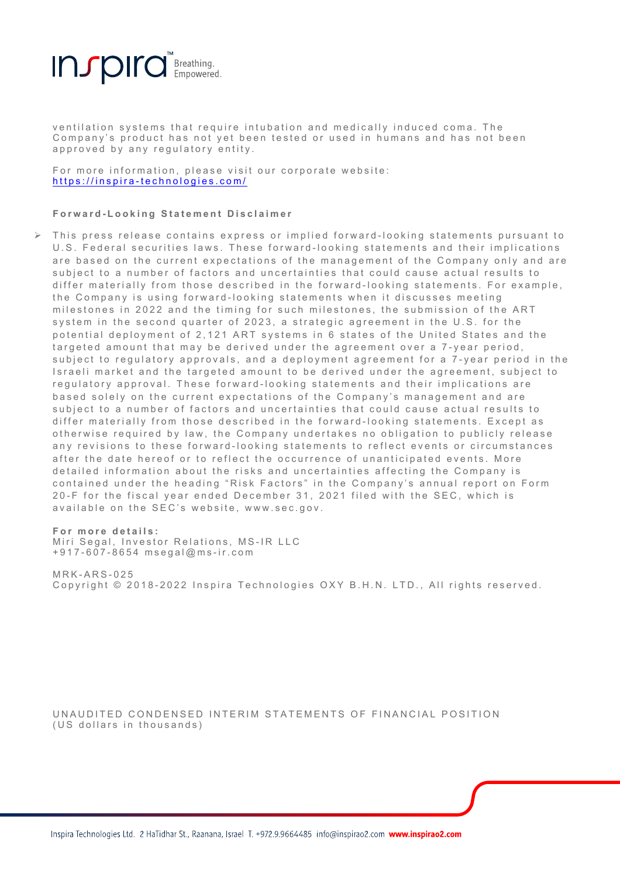

ventilation systems that require intubation and medically induced coma. The Company's product has not yet be en tested or used in humans and has not been approved by any regulatory entity.

For more information, please visit our corporate website: https://inspira - technologies.com/

#### **Forward - Looking Statement Disclaimer**

 $\triangleright$  This press release contains express or implied forward-looking statements pursuant to U.S. Federal securities laws. These forward-looking statements and their implications are based on the current expectations of the management of the Company only and are subject to a number of factors and uncertainties that could cause actual results to differ materially from those described in the forward-looking statements. For example, the Company is using forward-looking statements when it discusses meeting milestones in 2022 and the timing for such milestones, the submission of the ART system in the second quarter of 2023, a strategic agreement in the U.S. for the potential deployment of 2,121 ART systems in 6 states of the United States and the targeted amount that may be derived under the agreement over a 7 - year period, subject to regulatory approvals, and a deployment agreement for a 7-year period in the Israeli market and the targeted amount to be derived under the agreement, subject to regulatory approval. These forward-looking statements and their implications are based solely on the current expectations of the Company's management and are subject to a number of factors and uncertainties that could cause actual results to differ materially from those described in the forward-looking statements. Except as otherwise required by law, the Company undertakes no obligation to publicly release any revisions to these forward-looking statements to reflect events or circumstances after the date hereof or to reflect the occurrence of unanticipated events. More detailed information about the risks and uncertainties affecting the Company is contained under the heading "Risk Factors" in the Company's annual report on Form 20-F for the fiscal year ended December 31, 2021 filed with the SEC, which is available on the SEC's website, www.sec.gov.

# **For more details:**

Miri Segal, Investor Relations, MS - IR LLC +917 - 607 - 8654 msegal@ms - ir.com

MRK - ARS - 025 Copyright © 2018 - 2022 Inspira Technologies OXY B.H.N. LTD., All rights reserved.

UNAUDITED CONDENSED INTERIM STATEMENTS OF FINANCIAL POSITION (US dollars in thousands)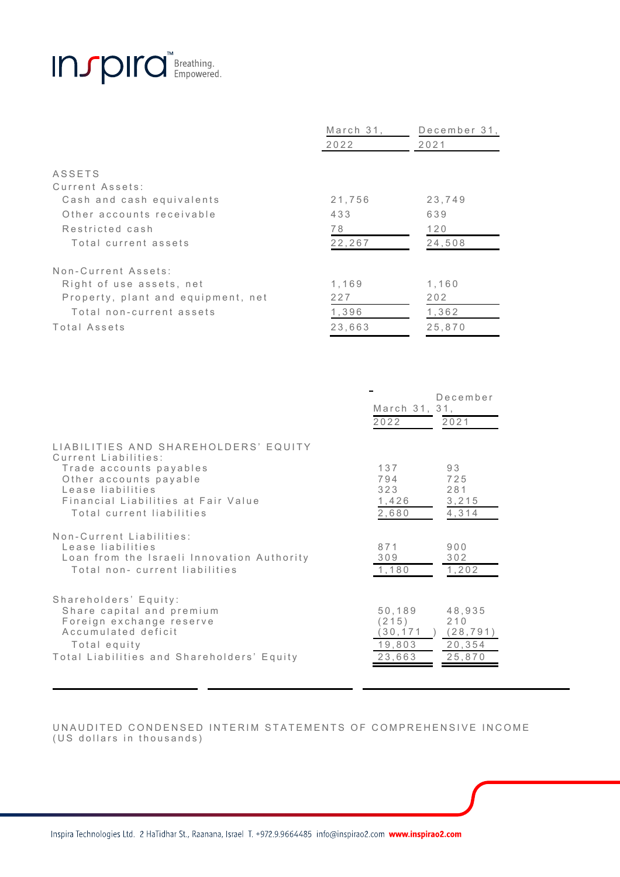

|                                    | March 31. | December 31, |  |
|------------------------------------|-----------|--------------|--|
|                                    | 2022      | 2021         |  |
|                                    |           |              |  |
| <b>ASSETS</b>                      |           |              |  |
| Current Assets:                    |           |              |  |
| Cash and cash equivalents          | 21,756    | 23,749       |  |
| Other accounts receivable          | 433       | 639          |  |
| Restricted cash                    | 78        | 120          |  |
| Total current assets               | 22,267    | 24,508       |  |
| Non-Current Assets:                |           |              |  |
| Right of use assets, net           | 1,169     | 1,160        |  |
| Property, plant and equipment, net | 227       | 202          |  |
| Total non-current assets           | 1,396     | 1,362        |  |
| Total Assets                       | 23,663    | 25,870       |  |

|                                                                                                                                                                                                            | March 31, 31,<br>2022                         | December<br>2021                               |
|------------------------------------------------------------------------------------------------------------------------------------------------------------------------------------------------------------|-----------------------------------------------|------------------------------------------------|
| LIABILITIES AND SHAREHOLDERS' EQUITY<br>Current Liabilities:<br>Trade accounts payables<br>Other accounts payable<br>Lease liabilities<br>Financial Liabilities at Fair Value<br>Total current liabilities | 137<br>794<br>323<br>1,426<br>2,680           | 93<br>725<br>281<br>3, 215<br>4,314            |
| Non-Current Liabilities:<br>Lease liabilities<br>Loan from the Israeli Innovation Authority<br>Total non- current liabilities                                                                              | 871<br>309<br>1,180                           | 900<br>302<br>1, 202                           |
| Shareholders' Equity:<br>Share capital and premium<br>Foreign exchange reserve<br>Accumulated deficit<br>Total equity<br>Total Liabilities and Shareholders' Equity                                        | 50,189<br>(215)<br>30,171<br>19,803<br>23,663 | 48,935<br>210<br>(28, 791)<br>20,354<br>25,870 |

UNAUDITED CONDENSED INTERIM STATEMENTS OF COMPREHENSIVE INCOME (US dollars in thousands)

Inspira Technologies Ltd. 2 HaTidhar St., Raanana, Israel T. +972.9.9664485 info@inspirao2.com www.inspirao2.com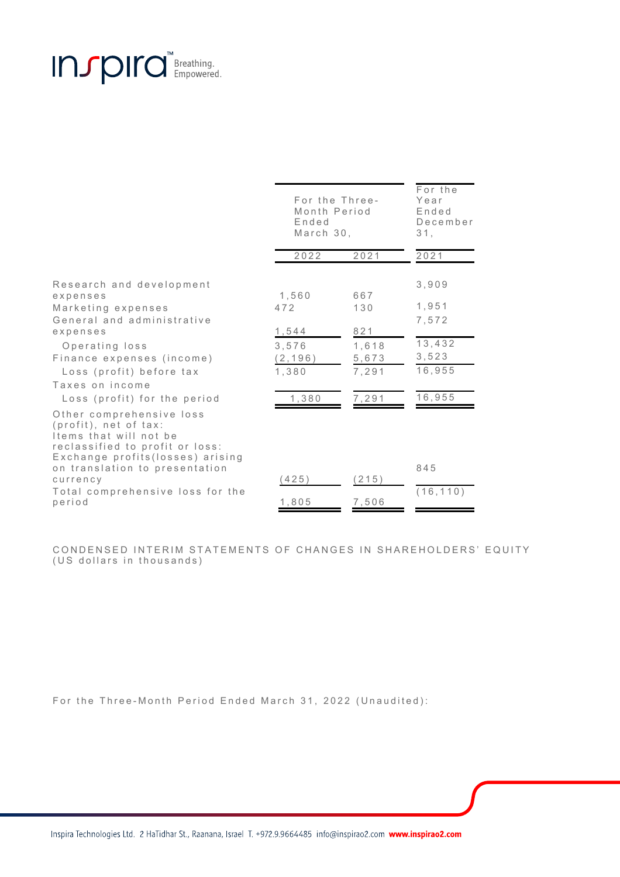# Insport of Breathing.

|                                                                                                                                                                                                                                                | For the Three-<br>Month Period<br>Ended<br>March 30,         |                                                       | For the<br>Year<br>Ended<br>December<br>31.                    |
|------------------------------------------------------------------------------------------------------------------------------------------------------------------------------------------------------------------------------------------------|--------------------------------------------------------------|-------------------------------------------------------|----------------------------------------------------------------|
|                                                                                                                                                                                                                                                | 2022                                                         | 2021                                                  | 2021                                                           |
| Research and development<br>expenses<br>Marketing expenses<br>General and administrative<br>expenses<br>Operating loss<br>Finance expenses (income)<br>Loss (profit) before tax<br>Taxes on income<br>Loss (profit) for the period             | 1,560<br>472<br>1,544<br>3,576<br>(2, 196)<br>1.380<br>1,380 | 667<br>130<br>821<br>1,618<br>5,673<br>7,291<br>7,291 | 3,909<br>1,951<br>7,572<br>13,432<br>3,523<br>16,955<br>16,955 |
| Other comprehensive loss<br>(profit), net of tax:<br>Items that will not be<br>reclassified to profit or loss:<br>Exchange profits(losses) arising<br>on translation to presentation<br>currency<br>Total comprehensive loss for the<br>period | (425)<br>1,805                                               | (215)<br>7,506                                        | 845<br>(16, 110)                                               |

CONDENSED INTERIM STATEMENTS OF CHANGES IN SHAREHOLDERS' EQUITY (US dollars in thousands)

For the Three-Month Period Ended March 31, 2022 (Unaudited):